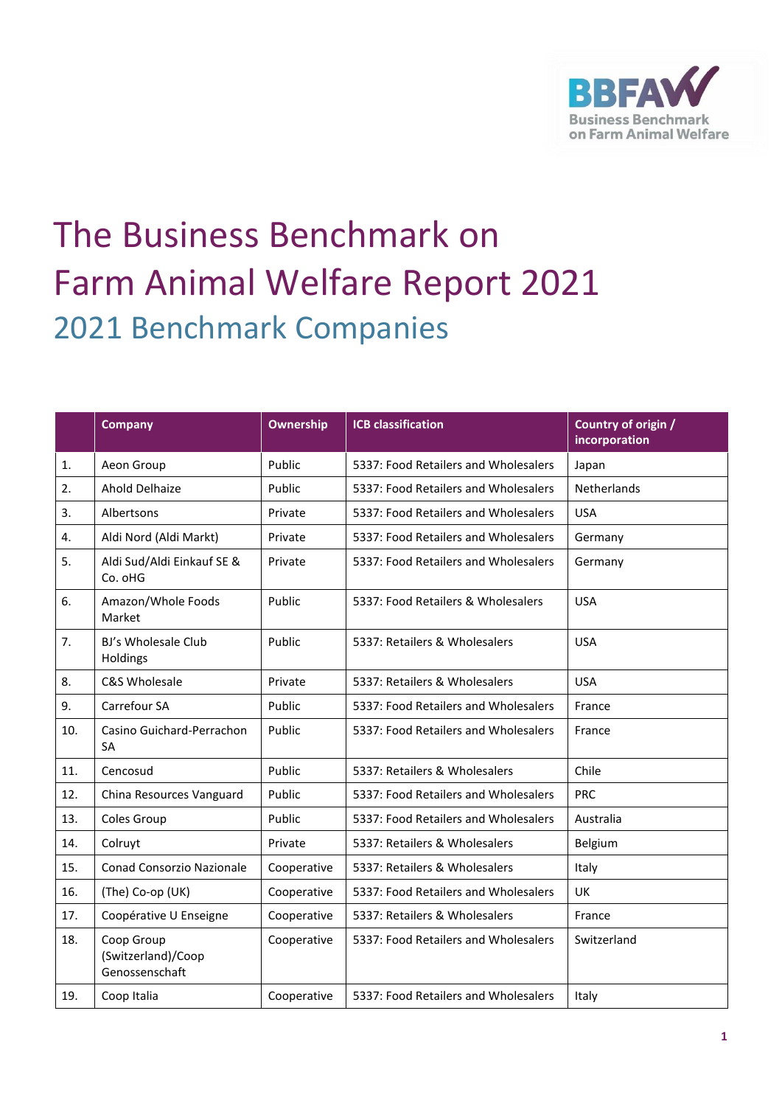

## The Business Benchmark on Farm Animal Welfare Report 2021 2021 Benchmark Companies

|     | <b>Company</b>                                     | Ownership   | <b>ICB classification</b>            | Country of origin / |
|-----|----------------------------------------------------|-------------|--------------------------------------|---------------------|
|     |                                                    |             |                                      | incorporation       |
| 1.  | Aeon Group                                         | Public      | 5337: Food Retailers and Wholesalers | Japan               |
| 2.  | <b>Ahold Delhaize</b>                              | Public      | 5337: Food Retailers and Wholesalers | Netherlands         |
| 3.  | Albertsons                                         | Private     | 5337: Food Retailers and Wholesalers | <b>USA</b>          |
| 4.  | Aldi Nord (Aldi Markt)                             | Private     | 5337: Food Retailers and Wholesalers | Germany             |
| 5.  | Aldi Sud/Aldi Einkauf SE &<br>Co. oHG              | Private     | 5337: Food Retailers and Wholesalers | Germany             |
| 6.  | Amazon/Whole Foods<br>Market                       | Public      | 5337: Food Retailers & Wholesalers   | <b>USA</b>          |
| 7.  | BJ's Wholesale Club<br>Holdings                    | Public      | 5337: Retailers & Wholesalers        | <b>USA</b>          |
| 8.  | C&S Wholesale                                      | Private     | 5337: Retailers & Wholesalers        | <b>USA</b>          |
| 9.  | Carrefour SA                                       | Public      | 5337: Food Retailers and Wholesalers | France              |
| 10. | Casino Guichard-Perrachon<br><b>SA</b>             | Public      | 5337: Food Retailers and Wholesalers | France              |
| 11. | Cencosud                                           | Public      | 5337: Retailers & Wholesalers        | Chile               |
| 12. | China Resources Vanguard                           | Public      | 5337: Food Retailers and Wholesalers | <b>PRC</b>          |
| 13. | Coles Group                                        | Public      | 5337: Food Retailers and Wholesalers | Australia           |
| 14. | Colruyt                                            | Private     | 5337: Retailers & Wholesalers        | Belgium             |
| 15. | <b>Conad Consorzio Nazionale</b>                   | Cooperative | 5337: Retailers & Wholesalers        | Italy               |
| 16. | (The) Co-op (UK)                                   | Cooperative | 5337: Food Retailers and Wholesalers | UK                  |
| 17. | Coopérative U Enseigne                             | Cooperative | 5337: Retailers & Wholesalers        | France              |
| 18. | Coop Group<br>(Switzerland)/Coop<br>Genossenschaft | Cooperative | 5337: Food Retailers and Wholesalers | Switzerland         |
| 19. | Coop Italia                                        | Cooperative | 5337: Food Retailers and Wholesalers | Italy               |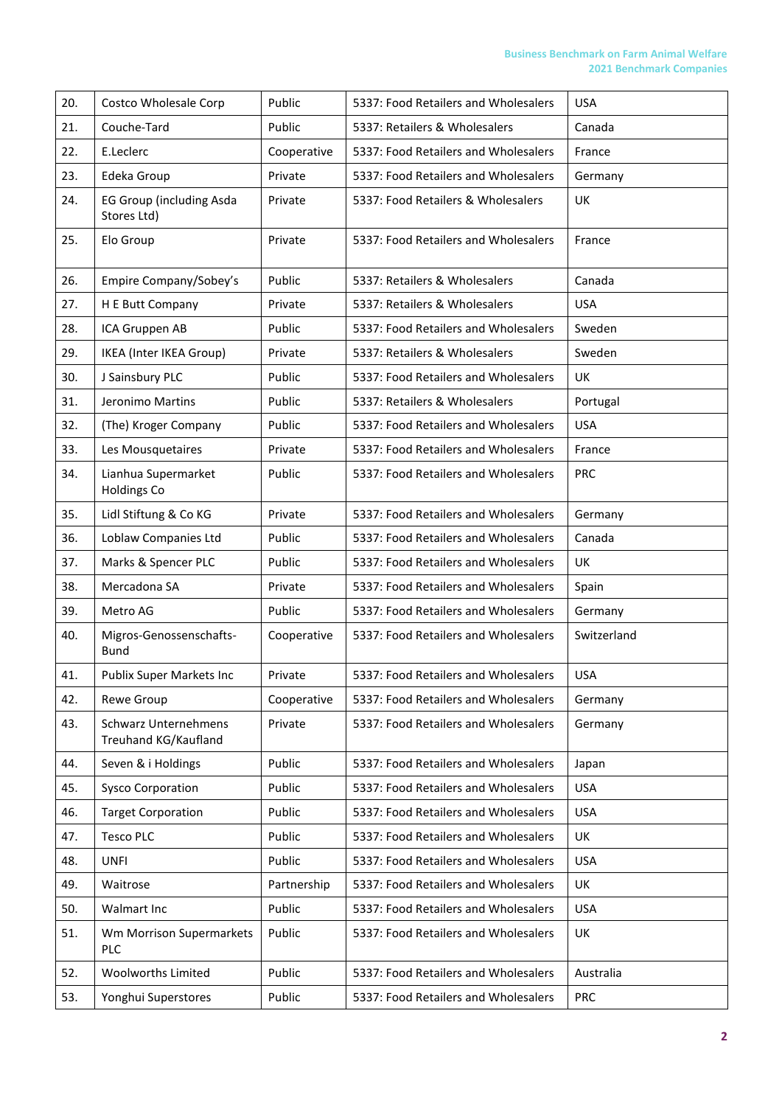| 20. | Costco Wholesale Corp                               | Public      | 5337: Food Retailers and Wholesalers | <b>USA</b>  |
|-----|-----------------------------------------------------|-------------|--------------------------------------|-------------|
| 21. | Couche-Tard                                         | Public      | 5337: Retailers & Wholesalers        | Canada      |
| 22. | E.Leclerc                                           | Cooperative | 5337: Food Retailers and Wholesalers | France      |
| 23. | Edeka Group                                         | Private     | 5337: Food Retailers and Wholesalers | Germany     |
| 24. | <b>EG Group (including Asda</b><br>Stores Ltd)      | Private     | 5337: Food Retailers & Wholesalers   | UK          |
| 25. | Elo Group                                           | Private     | 5337: Food Retailers and Wholesalers | France      |
| 26. | Empire Company/Sobey's                              | Public      | 5337: Retailers & Wholesalers        | Canada      |
| 27. | H E Butt Company                                    | Private     | 5337: Retailers & Wholesalers        | <b>USA</b>  |
| 28. | ICA Gruppen AB                                      | Public      | 5337: Food Retailers and Wholesalers | Sweden      |
| 29. | IKEA (Inter IKEA Group)                             | Private     | 5337: Retailers & Wholesalers        | Sweden      |
| 30. | J Sainsbury PLC                                     | Public      | 5337: Food Retailers and Wholesalers | <b>UK</b>   |
| 31. | Jeronimo Martins                                    | Public      | 5337: Retailers & Wholesalers        | Portugal    |
| 32. | (The) Kroger Company                                | Public      | 5337: Food Retailers and Wholesalers | <b>USA</b>  |
| 33. | Les Mousquetaires                                   | Private     | 5337: Food Retailers and Wholesalers | France      |
| 34. | Lianhua Supermarket<br><b>Holdings Co</b>           | Public      | 5337: Food Retailers and Wholesalers | <b>PRC</b>  |
| 35. | Lidl Stiftung & Co KG                               | Private     | 5337: Food Retailers and Wholesalers | Germany     |
| 36. | Loblaw Companies Ltd                                | Public      | 5337: Food Retailers and Wholesalers | Canada      |
| 37. | Marks & Spencer PLC                                 | Public      | 5337: Food Retailers and Wholesalers | UK          |
| 38. | Mercadona SA                                        | Private     | 5337: Food Retailers and Wholesalers | Spain       |
| 39. | Metro AG                                            | Public      | 5337: Food Retailers and Wholesalers | Germany     |
| 40. | Migros-Genossenschafts-<br>Bund                     | Cooperative | 5337: Food Retailers and Wholesalers | Switzerland |
| 41. | <b>Publix Super Markets Inc</b>                     | Private     | 5337: Food Retailers and Wholesalers | <b>USA</b>  |
| 42. | Rewe Group                                          | Cooperative | 5337: Food Retailers and Wholesalers | Germany     |
| 43. | <b>Schwarz Unternehmens</b><br>Treuhand KG/Kaufland | Private     | 5337: Food Retailers and Wholesalers | Germany     |
| 44. | Seven & i Holdings                                  | Public      | 5337: Food Retailers and Wholesalers | Japan       |
| 45. | <b>Sysco Corporation</b>                            | Public      | 5337: Food Retailers and Wholesalers | <b>USA</b>  |
| 46. | <b>Target Corporation</b>                           | Public      | 5337: Food Retailers and Wholesalers | <b>USA</b>  |
| 47. | <b>Tesco PLC</b>                                    | Public      | 5337: Food Retailers and Wholesalers | UK          |
| 48. | <b>UNFI</b>                                         | Public      | 5337: Food Retailers and Wholesalers | <b>USA</b>  |
| 49. | Waitrose                                            | Partnership | 5337: Food Retailers and Wholesalers | UK          |
| 50. | Walmart Inc                                         | Public      | 5337: Food Retailers and Wholesalers | <b>USA</b>  |
| 51. | Wm Morrison Supermarkets<br><b>PLC</b>              | Public      | 5337: Food Retailers and Wholesalers | UK          |
| 52. | Woolworths Limited                                  | Public      | 5337: Food Retailers and Wholesalers | Australia   |
| 53. | Yonghui Superstores                                 | Public      | 5337: Food Retailers and Wholesalers | <b>PRC</b>  |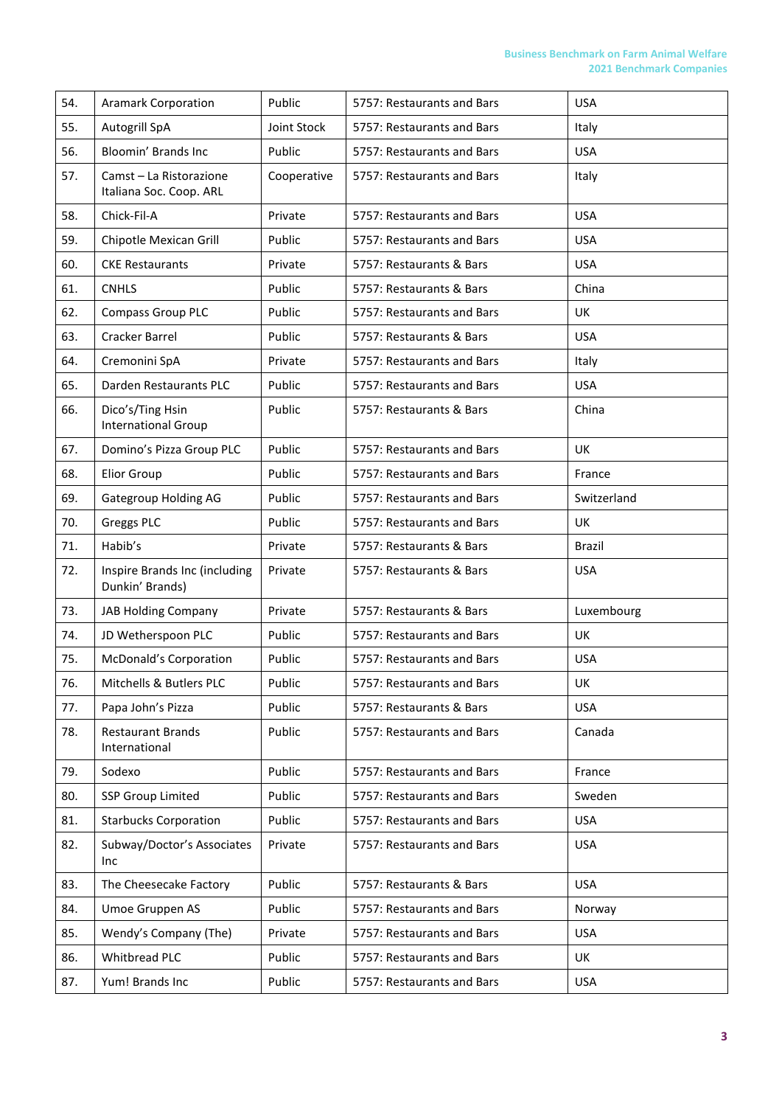| 54. | <b>Aramark Corporation</b>                         | Public      | 5757: Restaurants and Bars | <b>USA</b>    |
|-----|----------------------------------------------------|-------------|----------------------------|---------------|
| 55. | Autogrill SpA                                      | Joint Stock | 5757: Restaurants and Bars | Italy         |
| 56. | Bloomin' Brands Inc                                | Public      | 5757: Restaurants and Bars | <b>USA</b>    |
| 57. | Camst - La Ristorazione<br>Italiana Soc. Coop. ARL | Cooperative | 5757: Restaurants and Bars | Italy         |
| 58. | Chick-Fil-A                                        | Private     | 5757: Restaurants and Bars | <b>USA</b>    |
| 59. | Chipotle Mexican Grill                             | Public      | 5757: Restaurants and Bars | <b>USA</b>    |
| 60. | <b>CKE Restaurants</b>                             | Private     | 5757: Restaurants & Bars   | <b>USA</b>    |
| 61. | <b>CNHLS</b>                                       | Public      | 5757: Restaurants & Bars   | China         |
| 62. | <b>Compass Group PLC</b>                           | Public      | 5757: Restaurants and Bars | UK            |
| 63. | Cracker Barrel                                     | Public      | 5757: Restaurants & Bars   | <b>USA</b>    |
| 64. | Cremonini SpA                                      | Private     | 5757: Restaurants and Bars | Italy         |
| 65. | Darden Restaurants PLC                             | Public      | 5757: Restaurants and Bars | <b>USA</b>    |
| 66. | Dico's/Ting Hsin<br><b>International Group</b>     | Public      | 5757: Restaurants & Bars   | China         |
| 67. | Domino's Pizza Group PLC                           | Public      | 5757: Restaurants and Bars | UK            |
| 68. | <b>Elior Group</b>                                 | Public      | 5757: Restaurants and Bars | France        |
| 69. | Gategroup Holding AG                               | Public      | 5757: Restaurants and Bars | Switzerland   |
| 70. | Greggs PLC                                         | Public      | 5757: Restaurants and Bars | UK            |
| 71. | Habib's                                            | Private     | 5757: Restaurants & Bars   | <b>Brazil</b> |
| 72. | Inspire Brands Inc (including<br>Dunkin' Brands)   | Private     | 5757: Restaurants & Bars   | <b>USA</b>    |
| 73. | <b>JAB Holding Company</b>                         | Private     | 5757: Restaurants & Bars   | Luxembourg    |
| 74. | JD Wetherspoon PLC                                 | Public      | 5757: Restaurants and Bars | <b>UK</b>     |
| 75. | <b>McDonald's Corporation</b>                      | Public      | 5757: Restaurants and Bars | <b>USA</b>    |
| 76. | Mitchells & Butlers PLC                            | Public      | 5757: Restaurants and Bars | UK            |
| 77. | Papa John's Pizza                                  | Public      | 5757: Restaurants & Bars   | <b>USA</b>    |
| 78. | <b>Restaurant Brands</b><br>International          | Public      | 5757: Restaurants and Bars | Canada        |
| 79. | Sodexo                                             | Public      | 5757: Restaurants and Bars | France        |
| 80. | <b>SSP Group Limited</b>                           | Public      | 5757: Restaurants and Bars | Sweden        |
| 81. | <b>Starbucks Corporation</b>                       | Public      | 5757: Restaurants and Bars | <b>USA</b>    |
| 82. | Subway/Doctor's Associates<br>Inc                  | Private     | 5757: Restaurants and Bars | <b>USA</b>    |
| 83. | The Cheesecake Factory                             | Public      | 5757: Restaurants & Bars   | <b>USA</b>    |
| 84. | Umoe Gruppen AS                                    | Public      | 5757: Restaurants and Bars | Norway        |
| 85. | Wendy's Company (The)                              | Private     | 5757: Restaurants and Bars | <b>USA</b>    |
| 86. | Whitbread PLC                                      | Public      | 5757: Restaurants and Bars | UK            |
| 87. | Yum! Brands Inc                                    | Public      | 5757: Restaurants and Bars | <b>USA</b>    |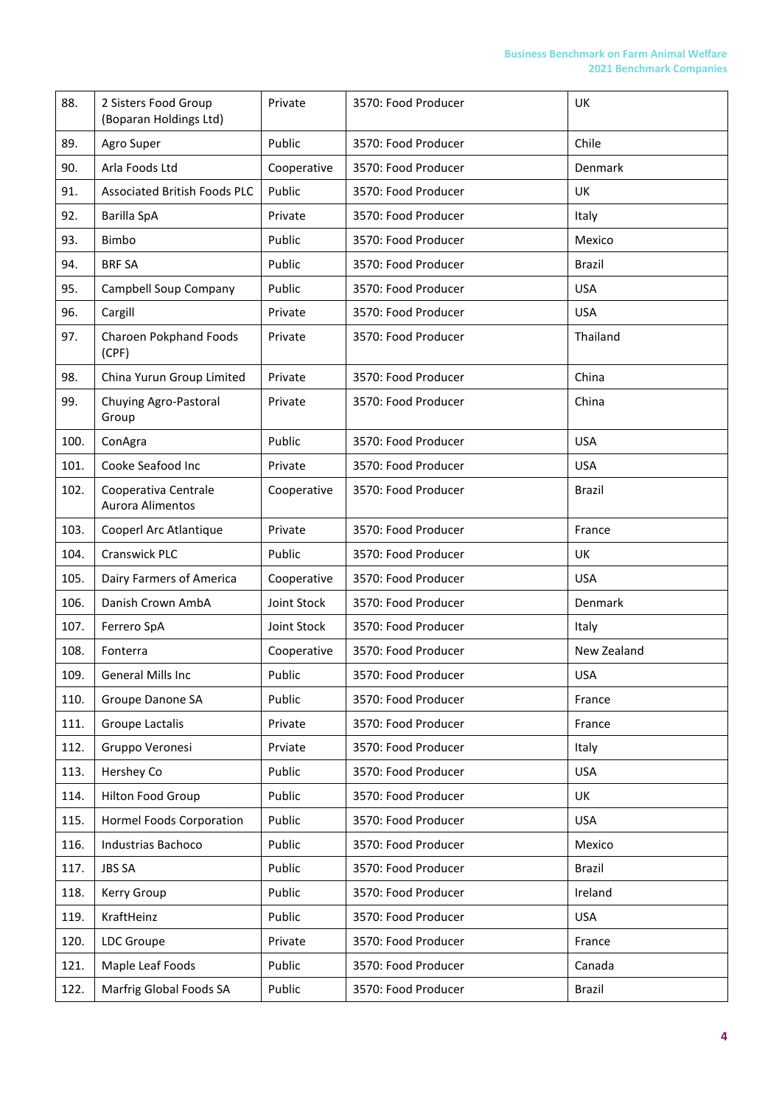| 88.  | 2 Sisters Food Group<br>(Boparan Holdings Ltd) | Private     | 3570: Food Producer | UK            |
|------|------------------------------------------------|-------------|---------------------|---------------|
| 89.  | Agro Super                                     | Public      | 3570: Food Producer | Chile         |
| 90.  | Arla Foods Ltd                                 | Cooperative | 3570: Food Producer | Denmark       |
| 91.  | <b>Associated British Foods PLC</b>            | Public      | 3570: Food Producer | <b>UK</b>     |
| 92.  | Barilla SpA                                    | Private     | 3570: Food Producer | Italy         |
| 93.  | Bimbo                                          | Public      | 3570: Food Producer | Mexico        |
| 94.  | <b>BRF SA</b>                                  | Public      | 3570: Food Producer | Brazil        |
| 95.  | Campbell Soup Company                          | Public      | 3570: Food Producer | <b>USA</b>    |
| 96.  | Cargill                                        | Private     | 3570: Food Producer | <b>USA</b>    |
| 97.  | Charoen Pokphand Foods<br>(CPF)                | Private     | 3570: Food Producer | Thailand      |
| 98.  | China Yurun Group Limited                      | Private     | 3570: Food Producer | China         |
| 99.  | Chuying Agro-Pastoral<br>Group                 | Private     | 3570: Food Producer | China         |
| 100. | ConAgra                                        | Public      | 3570: Food Producer | <b>USA</b>    |
| 101. | Cooke Seafood Inc                              | Private     | 3570: Food Producer | <b>USA</b>    |
| 102. | Cooperativa Centrale<br>Aurora Alimentos       | Cooperative | 3570: Food Producer | Brazil        |
| 103. | Cooperl Arc Atlantique                         | Private     | 3570: Food Producer | France        |
| 104. | Cranswick PLC                                  | Public      | 3570: Food Producer | UK            |
| 105. | Dairy Farmers of America                       | Cooperative | 3570: Food Producer | <b>USA</b>    |
| 106. | Danish Crown AmbA                              | Joint Stock | 3570: Food Producer | Denmark       |
| 107. | Ferrero SpA                                    | Joint Stock | 3570: Food Producer | Italy         |
| 108. | Fonterra                                       | Cooperative | 3570: Food Producer | New Zealand   |
| 109. | General Mills Inc                              | Public      | 3570: Food Producer | <b>USA</b>    |
| 110. | Groupe Danone SA                               | Public      | 3570: Food Producer | France        |
| 111. | Groupe Lactalis                                | Private     | 3570: Food Producer | France        |
| 112. | Gruppo Veronesi                                | Prviate     | 3570: Food Producer | Italy         |
| 113. | Hershey Co                                     | Public      | 3570: Food Producer | <b>USA</b>    |
| 114. | Hilton Food Group                              | Public      | 3570: Food Producer | UK            |
| 115. | Hormel Foods Corporation                       | Public      | 3570: Food Producer | <b>USA</b>    |
| 116. | Industrias Bachoco                             | Public      | 3570: Food Producer | Mexico        |
| 117. | <b>JBS SA</b>                                  | Public      | 3570: Food Producer | Brazil        |
| 118. | Kerry Group                                    | Public      | 3570: Food Producer | Ireland       |
| 119. | KraftHeinz                                     | Public      | 3570: Food Producer | <b>USA</b>    |
| 120. | <b>LDC</b> Groupe                              | Private     | 3570: Food Producer | France        |
| 121. | Maple Leaf Foods                               | Public      | 3570: Food Producer | Canada        |
| 122. | Marfrig Global Foods SA                        | Public      | 3570: Food Producer | <b>Brazil</b> |